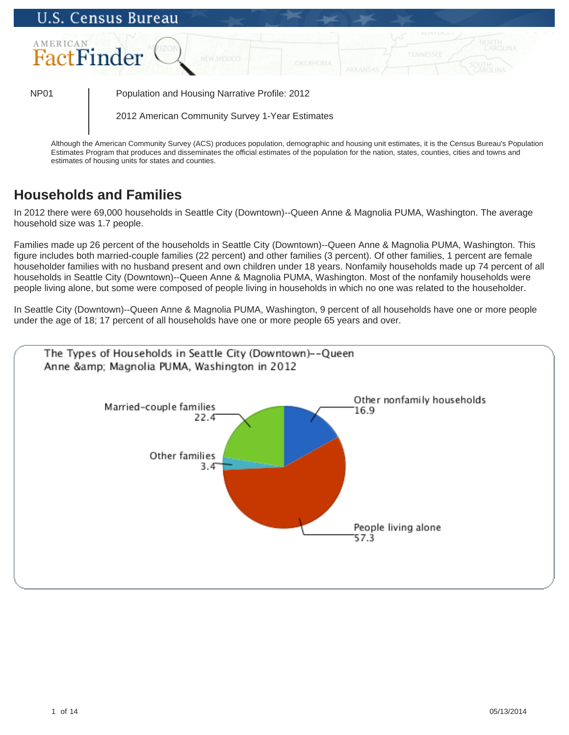

Although the American Community Survey (ACS) produces population, demographic and housing unit estimates, it is the Census Bureau's Population Estimates Program that produces and disseminates the official estimates of the population for the nation, states, counties, cities and towns and estimates of housing units for states and counties.

# **Households and Families**

In 2012 there were 69,000 households in Seattle City (Downtown)--Queen Anne & Magnolia PUMA, Washington. The average household size was 1.7 people.

Families made up 26 percent of the households in Seattle City (Downtown)--Queen Anne & Magnolia PUMA, Washington. This figure includes both married-couple families (22 percent) and other families (3 percent). Of other families, 1 percent are female householder families with no husband present and own children under 18 years. Nonfamily households made up 74 percent of all households in Seattle City (Downtown)--Queen Anne & Magnolia PUMA, Washington. Most of the nonfamily households were people living alone, but some were composed of people living in households in which no one was related to the householder.

In Seattle City (Downtown)--Queen Anne & Magnolia PUMA, Washington, 9 percent of all households have one or more people under the age of 18; 17 percent of all households have one or more people 65 years and over.

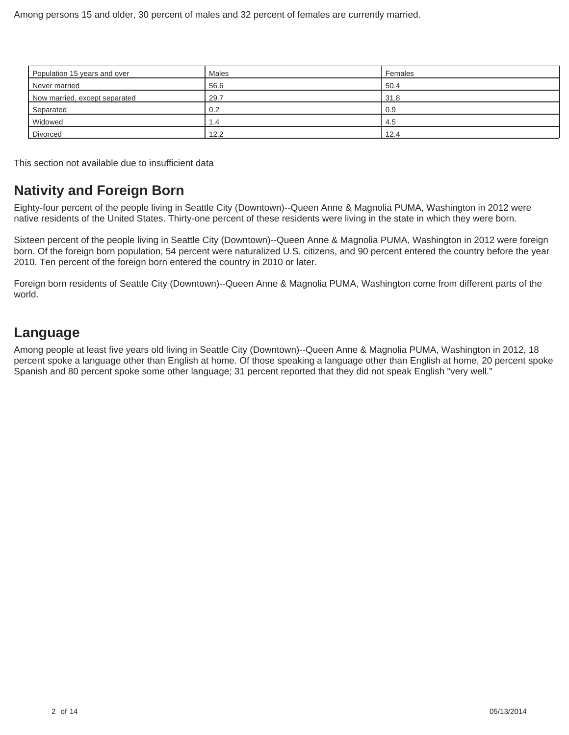| Population 15 years and over  | Males | Females |
|-------------------------------|-------|---------|
| Never married                 | 56.6  | 50.4    |
| Now married, except separated | 29.7  | 31.8    |
| Separated                     | 0.2   | 0.9     |
| Widowed                       | 1.4   | 4.5     |
| <b>Divorced</b>               | 12.2  | 12.4    |

This section not available due to insufficient data

#### **Nativity and Foreign Born**

Eighty-four percent of the people living in Seattle City (Downtown)--Queen Anne & Magnolia PUMA, Washington in 2012 were native residents of the United States. Thirty-one percent of these residents were living in the state in which they were born.

Sixteen percent of the people living in Seattle City (Downtown)--Queen Anne & Magnolia PUMA, Washington in 2012 were foreign born. Of the foreign born population, 54 percent were naturalized U.S. citizens, and 90 percent entered the country before the year 2010. Ten percent of the foreign born entered the country in 2010 or later.

Foreign born residents of Seattle City (Downtown)--Queen Anne & Magnolia PUMA, Washington come from different parts of the world.

#### **Language**

Among people at least five years old living in Seattle City (Downtown)--Queen Anne & Magnolia PUMA, Washington in 2012, 18 percent spoke a language other than English at home. Of those speaking a language other than English at home, 20 percent spoke Spanish and 80 percent spoke some other language; 31 percent reported that they did not speak English "very well."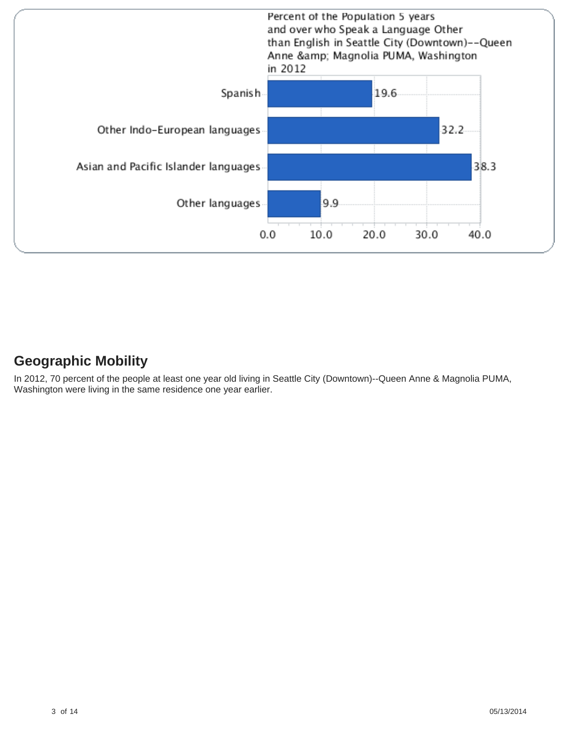

#### **Geographic Mobility**

In 2012, 70 percent of the people at least one year old living in Seattle City (Downtown)--Queen Anne & Magnolia PUMA, Washington were living in the same residence one year earlier.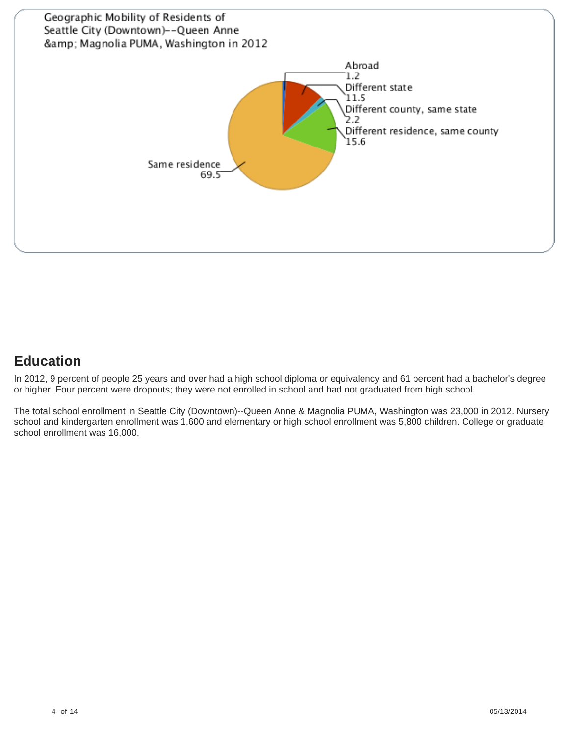

# **Education**

In 2012, 9 percent of people 25 years and over had a high school diploma or equivalency and 61 percent had a bachelor's degree or higher. Four percent were dropouts; they were not enrolled in school and had not graduated from high school.

The total school enrollment in Seattle City (Downtown)--Queen Anne & Magnolia PUMA, Washington was 23,000 in 2012. Nursery school and kindergarten enrollment was 1,600 and elementary or high school enrollment was 5,800 children. College or graduate school enrollment was 16,000.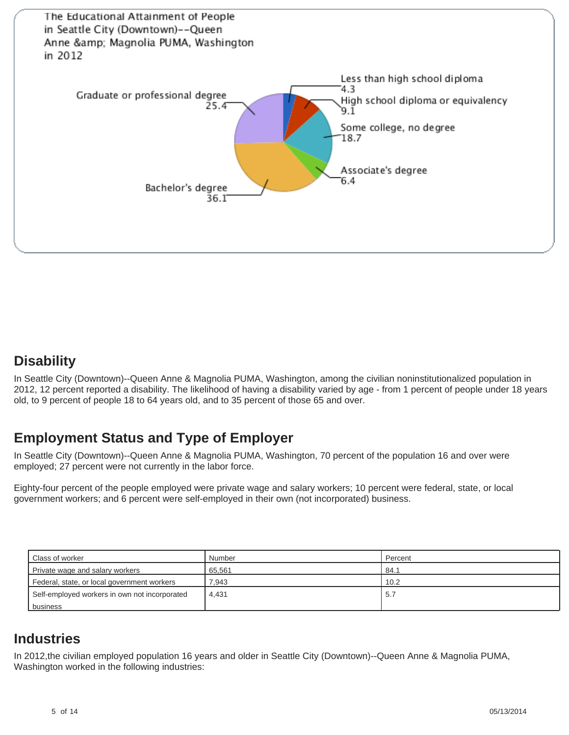

#### **Disability**

In Seattle City (Downtown)--Queen Anne & Magnolia PUMA, Washington, among the civilian noninstitutionalized population in 2012, 12 percent reported a disability. The likelihood of having a disability varied by age - from 1 percent of people under 18 years old, to 9 percent of people 18 to 64 years old, and to 35 percent of those 65 and over.

# **Employment Status and Type of Employer**

In Seattle City (Downtown)--Queen Anne & Magnolia PUMA, Washington, 70 percent of the population 16 and over were employed; 27 percent were not currently in the labor force.

Eighty-four percent of the people employed were private wage and salary workers; 10 percent were federal, state, or local government workers; and 6 percent were self-employed in their own (not incorporated) business.

| <b>Class of worker</b>                        | Number | Percent |
|-----------------------------------------------|--------|---------|
| Private wage and salary workers               | 65.561 | 84.1    |
| Federal, state, or local government workers   | 7.943  | 10.2    |
| Self-employed workers in own not incorporated | 4.431  | 5.7     |
| business                                      |        |         |

#### **Industries**

In 2012,the civilian employed population 16 years and older in Seattle City (Downtown)--Queen Anne & Magnolia PUMA, Washington worked in the following industries: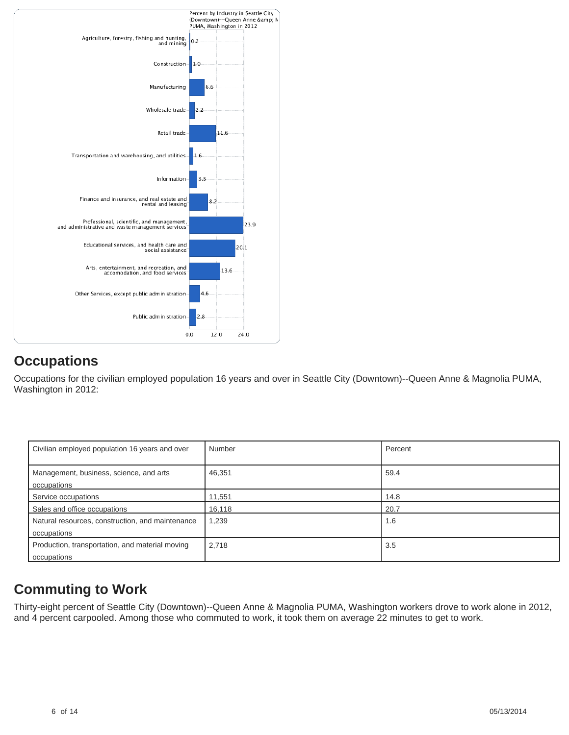

# **Occupations**

Occupations for the civilian employed population 16 years and over in Seattle City (Downtown)--Queen Anne & Magnolia PUMA, Washington in 2012:

| Civilian employed population 16 years and over                  | Number | Percent |
|-----------------------------------------------------------------|--------|---------|
| Management, business, science, and arts<br>occupations          | 46,351 | 59.4    |
| Service occupations                                             | 11,551 | 14.8    |
| Sales and office occupations                                    | 16,118 | 20.7    |
| Natural resources, construction, and maintenance<br>occupations | 1,239  | 1.6     |
| Production, transportation, and material moving<br>occupations  | 2,718  | 3.5     |

# **Commuting to Work**

Thirty-eight percent of Seattle City (Downtown)--Queen Anne & Magnolia PUMA, Washington workers drove to work alone in 2012, and 4 percent carpooled. Among those who commuted to work, it took them on average 22 minutes to get to work.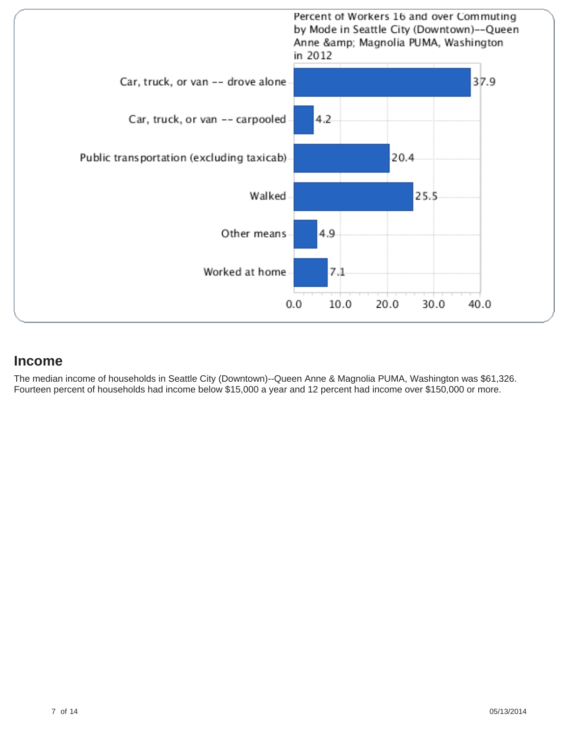

#### **Income**

The median income of households in Seattle City (Downtown)--Queen Anne & Magnolia PUMA, Washington was \$61,326. Fourteen percent of households had income below \$15,000 a year and 12 percent had income over \$150,000 or more.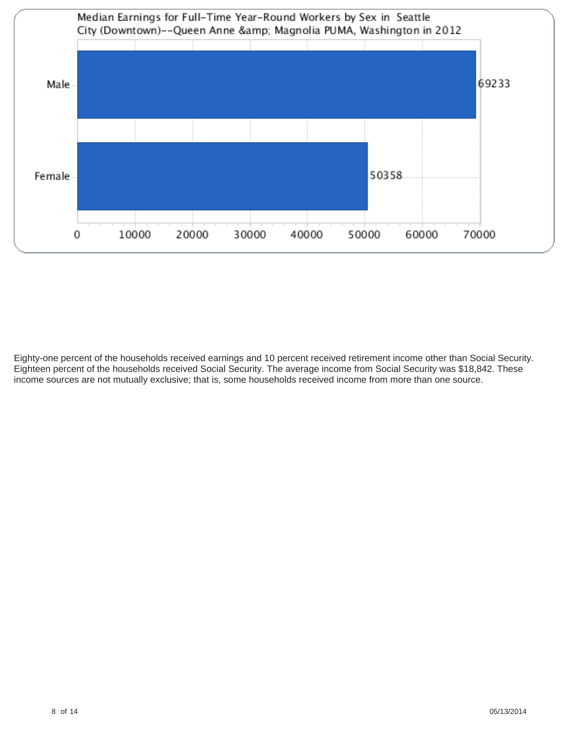

Eighty-one percent of the households received earnings and 10 percent received retirement income other than Social Security. Eighteen percent of the households received Social Security. The average income from Social Security was \$18,842. These income sources are not mutually exclusive; that is, some households received income from more than one source.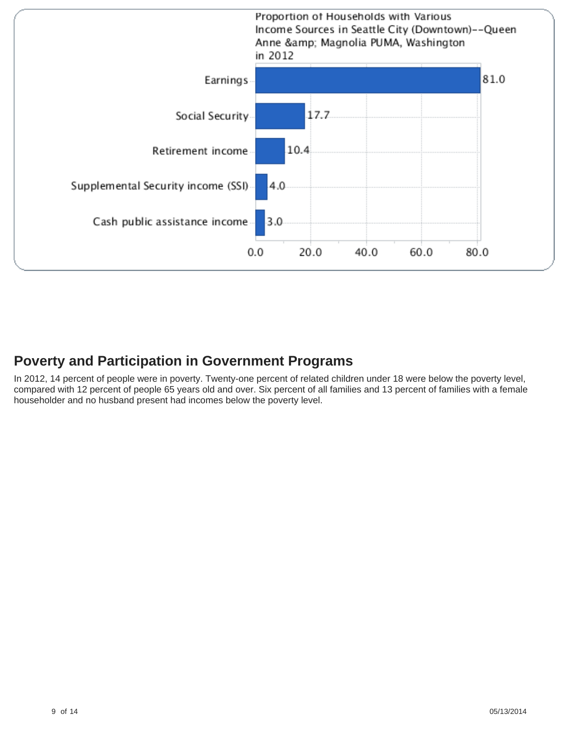

### **Poverty and Participation in Government Programs**

In 2012, 14 percent of people were in poverty. Twenty-one percent of related children under 18 were below the poverty level, compared with 12 percent of people 65 years old and over. Six percent of all families and 13 percent of families with a female householder and no husband present had incomes below the poverty level.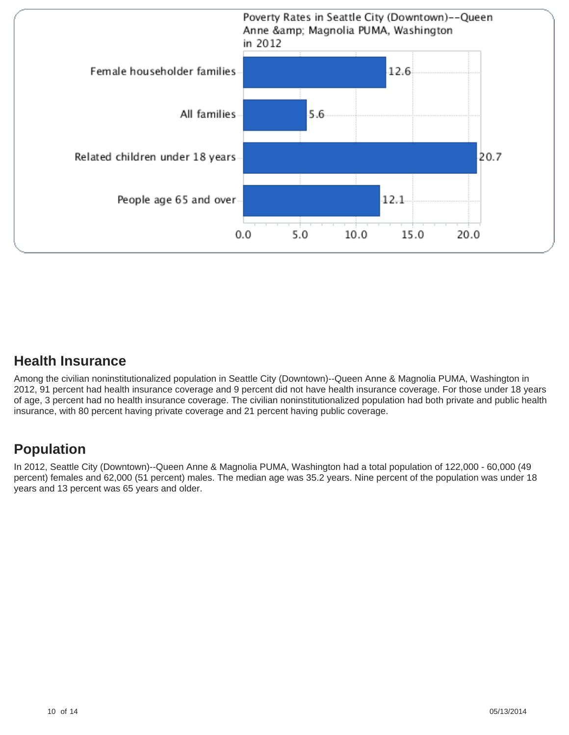

#### **Health Insurance**

Among the civilian noninstitutionalized population in Seattle City (Downtown)--Queen Anne & Magnolia PUMA, Washington in 2012, 91 percent had health insurance coverage and 9 percent did not have health insurance coverage. For those under 18 years of age, 3 percent had no health insurance coverage. The civilian noninstitutionalized population had both private and public health insurance, with 80 percent having private coverage and 21 percent having public coverage.

# **Population**

In 2012, Seattle City (Downtown)--Queen Anne & Magnolia PUMA, Washington had a total population of 122,000 - 60,000 (49 percent) females and 62,000 (51 percent) males. The median age was 35.2 years. Nine percent of the population was under 18 years and 13 percent was 65 years and older.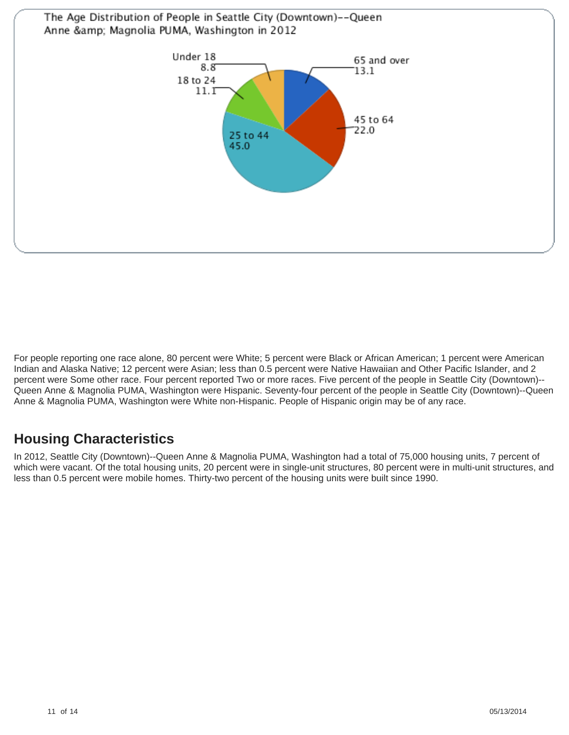

For people reporting one race alone, 80 percent were White; 5 percent were Black or African American; 1 percent were American Indian and Alaska Native; 12 percent were Asian; less than 0.5 percent were Native Hawaiian and Other Pacific Islander, and 2 percent were Some other race. Four percent reported Two or more races. Five percent of the people in Seattle City (Downtown)-- Queen Anne & Magnolia PUMA, Washington were Hispanic. Seventy-four percent of the people in Seattle City (Downtown)--Queen Anne & Magnolia PUMA, Washington were White non-Hispanic. People of Hispanic origin may be of any race.

# **Housing Characteristics**

In 2012, Seattle City (Downtown)--Queen Anne & Magnolia PUMA, Washington had a total of 75,000 housing units, 7 percent of which were vacant. Of the total housing units, 20 percent were in single-unit structures, 80 percent were in multi-unit structures, and less than 0.5 percent were mobile homes. Thirty-two percent of the housing units were built since 1990.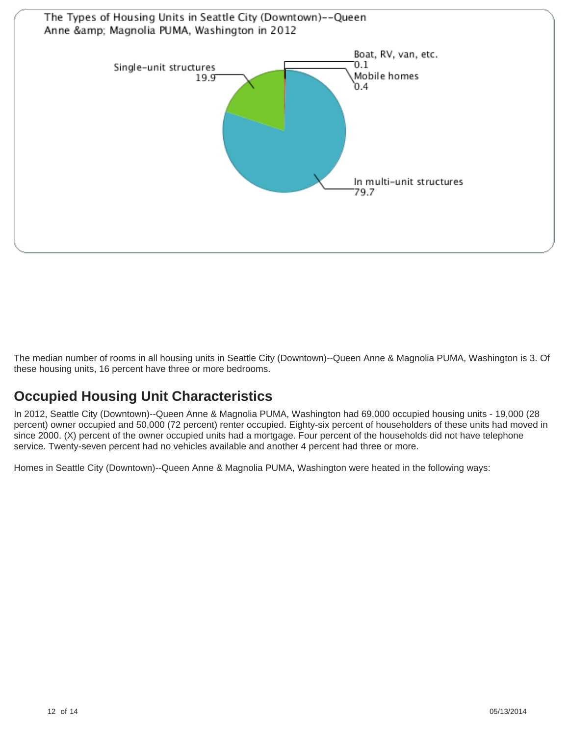

The median number of rooms in all housing units in Seattle City (Downtown)--Queen Anne & Magnolia PUMA, Washington is 3. Of these housing units, 16 percent have three or more bedrooms.

# **Occupied Housing Unit Characteristics**

In 2012, Seattle City (Downtown)--Queen Anne & Magnolia PUMA, Washington had 69,000 occupied housing units - 19,000 (28 percent) owner occupied and 50,000 (72 percent) renter occupied. Eighty-six percent of householders of these units had moved in since 2000. (X) percent of the owner occupied units had a mortgage. Four percent of the households did not have telephone service. Twenty-seven percent had no vehicles available and another 4 percent had three or more.

Homes in Seattle City (Downtown)--Queen Anne & Magnolia PUMA, Washington were heated in the following ways: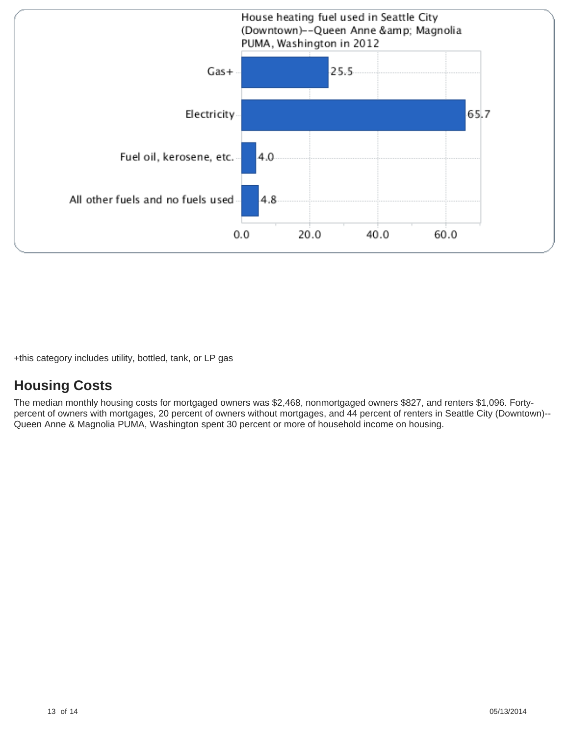

+this category includes utility, bottled, tank, or LP gas

#### **Housing Costs**

The median monthly housing costs for mortgaged owners was \$2,468, nonmortgaged owners \$827, and renters \$1,096. Fortypercent of owners with mortgages, 20 percent of owners without mortgages, and 44 percent of renters in Seattle City (Downtown)-- Queen Anne & Magnolia PUMA, Washington spent 30 percent or more of household income on housing.